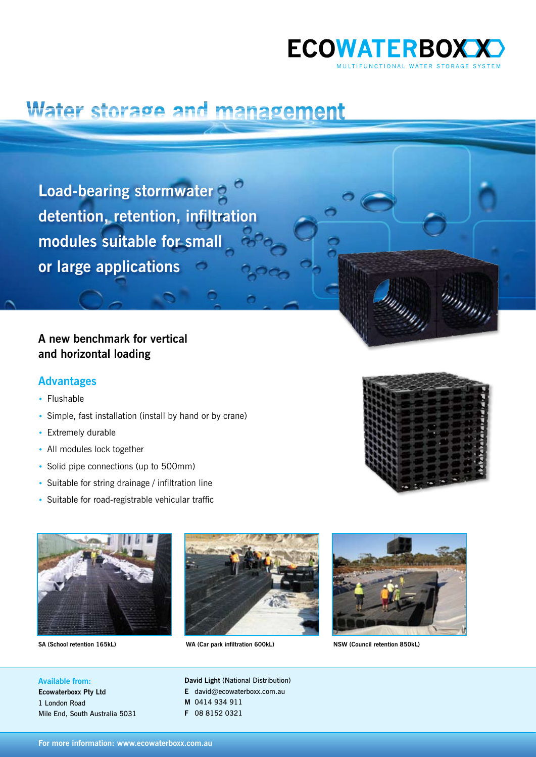

## Water storage and management

**Load-bearing stormwater detention, retention, infiltration modules suitable for small or large applications**

## **A new benchmark for vertical and horizontal loading**

### **Advantages**

- Flushable
- • Simple, fast installation (install by hand or by crane)
- Extremely durable
- All modules lock together
- Solid pipe connections (up to 500mm)
- Suitable for string drainage / infiltration line
- Suitable for road-registrable vehicular traffic





**SA (School retention 165kL) WA (Car park infiltration 600kL) NSW (Council retention 850kL)**



, , , , , , ,

mm<sub>mm</sub>

**Available from: Ecowaterboxx Pty Ltd** 1 London Road Mile End, South Australia 5031 **David Light** (National Distribution) **E** david@ecowaterboxx.com.au **M** 0414 934 911 **F** 08 8152 0321